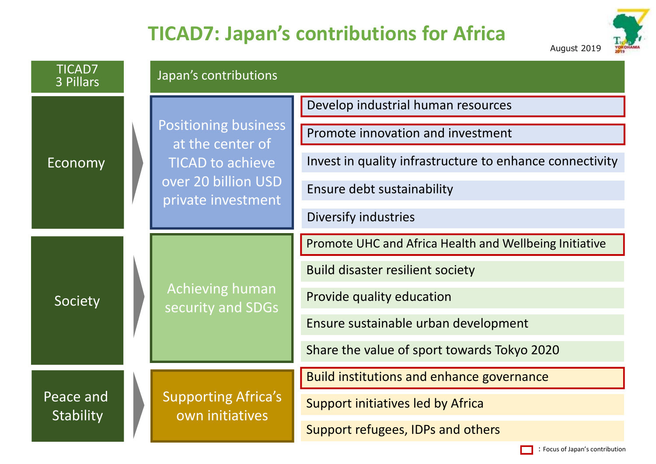# **TICAD7: Japan's contributions for Africa**



:Focus of Japan's contribution

| <b>TICAD7</b><br>3 Pillars | Japan's contributions                                                                                                   |                                                          |
|----------------------------|-------------------------------------------------------------------------------------------------------------------------|----------------------------------------------------------|
| Economy                    | <b>Positioning business</b><br>at the center of<br><b>TICAD to achieve</b><br>over 20 billion USD<br>private investment | Develop industrial human resources                       |
|                            |                                                                                                                         | Promote innovation and investment                        |
|                            |                                                                                                                         | Invest in quality infrastructure to enhance connectivity |
|                            |                                                                                                                         | Ensure debt sustainability                               |
|                            |                                                                                                                         | Diversify industries                                     |
| Society                    | <b>Achieving human</b><br>security and SDGs                                                                             | Promote UHC and Africa Health and Wellbeing Initiative   |
|                            |                                                                                                                         | <b>Build disaster resilient society</b>                  |
|                            |                                                                                                                         | Provide quality education                                |
|                            |                                                                                                                         | Ensure sustainable urban development                     |
|                            |                                                                                                                         | Share the value of sport towards Tokyo 2020              |
| Peace and<br>Stability     | <b>Supporting Africa's</b><br>own initiatives                                                                           | <b>Build institutions and enhance governance</b>         |
|                            |                                                                                                                         | Support initiatives led by Africa                        |
|                            |                                                                                                                         | Support refugees, IDPs and others                        |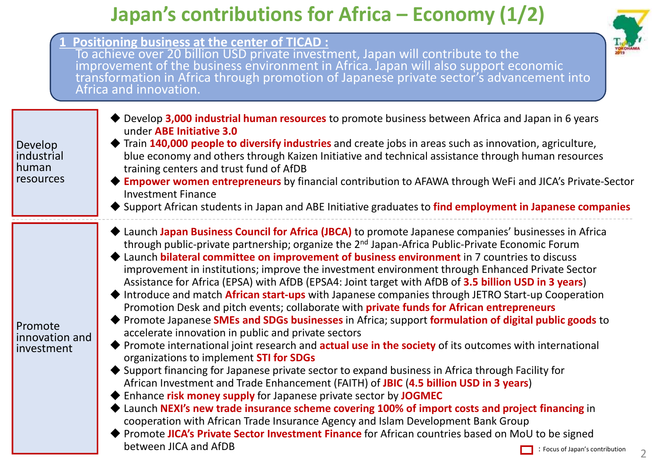## **Japan's contributions for Africa – Economy (1/2)**

To achieve over 20 billion USD private investment, Japan will contribute to the

**1 Positioning business at the center of TICAD :**



|                                             | improvement of the business environment in Africa. Japan will also support economic<br>transformation in Africa through promotion of Japanese private sector's advancement into<br>Africa and innovation.                                                                                                                                                                                                                                                                                                                                                                                                                                                                                                                                                                                                                                                                                                                                                                                                                                                                                                                                                                                                                                                                                                                                                                                                                                                                                                                                                                                                                                                                                            |
|---------------------------------------------|------------------------------------------------------------------------------------------------------------------------------------------------------------------------------------------------------------------------------------------------------------------------------------------------------------------------------------------------------------------------------------------------------------------------------------------------------------------------------------------------------------------------------------------------------------------------------------------------------------------------------------------------------------------------------------------------------------------------------------------------------------------------------------------------------------------------------------------------------------------------------------------------------------------------------------------------------------------------------------------------------------------------------------------------------------------------------------------------------------------------------------------------------------------------------------------------------------------------------------------------------------------------------------------------------------------------------------------------------------------------------------------------------------------------------------------------------------------------------------------------------------------------------------------------------------------------------------------------------------------------------------------------------------------------------------------------------|
| Develop<br>industrial<br>human<br>resources | ◆ Develop 3,000 industrial human resources to promote business between Africa and Japan in 6 years<br>under ABE Initiative 3.0<br>◆ Train 140,000 people to diversify industries and create jobs in areas such as innovation, agriculture,<br>blue economy and others through Kaizen Initiative and technical assistance through human resources<br>training centers and trust fund of AfDB<br>Empower women entrepreneurs by financial contribution to AFAWA through WeFi and JICA's Private-Sector<br><b>Investment Finance</b><br>♦ Support African students in Japan and ABE Initiative graduates to find employment in Japanese companies                                                                                                                                                                                                                                                                                                                                                                                                                                                                                                                                                                                                                                                                                                                                                                                                                                                                                                                                                                                                                                                       |
| Promote<br>innovation and<br>investment     | Launch Japan Business Council for Africa (JBCA) to promote Japanese companies' businesses in Africa<br>through public-private partnership; organize the 2 <sup>nd</sup> Japan-Africa Public-Private Economic Forum<br>Launch bilateral committee on improvement of business environment in 7 countries to discuss<br>improvement in institutions; improve the investment environment through Enhanced Private Sector<br>Assistance for Africa (EPSA) with AfDB (EPSA4: Joint target with AfDB of 3.5 billion USD in 3 years)<br>♦ Introduce and match African start-ups with Japanese companies through JETRO Start-up Cooperation<br>Promotion Desk and pitch events; collaborate with <b>private funds for African entrepreneurs</b><br>◆ Promote Japanese SMEs and SDGs businesses in Africa; support formulation of digital public goods to<br>accelerate innovation in public and private sectors<br>◆ Promote international joint research and <b>actual use in the society</b> of its outcomes with international<br>organizations to implement STI for SDGs<br>◆ Support financing for Japanese private sector to expand business in Africa through Facility for<br>African Investment and Trade Enhancement (FAITH) of JBIC (4.5 billion USD in 3 years)<br>◆ Enhance risk money supply for Japanese private sector by JOGMEC<br>Launch NEXI's new trade insurance scheme covering 100% of import costs and project financing in<br>cooperation with African Trade Insurance Agency and Islam Development Bank Group<br>Promote JICA's Private Sector Investment Finance for African countries based on MoU to be signed<br>between JICA and AfDB<br>$\Box$ : Focus of Japan's contribution |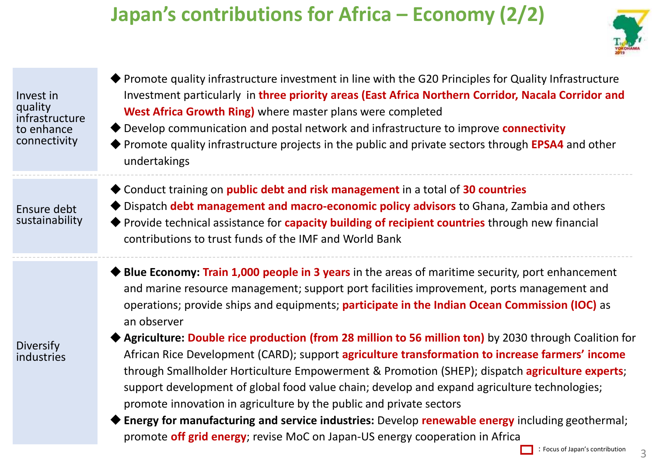# **Japan's contributions for Africa – Economy (2/2)**



- Invest in quality infrastructure to enhance connectivity
- Promote quality infrastructure investment in line with the G20 Principles for Quality Infrastructure Investment particularly in **three priority areas (East Africa Northern Corridor, Nacala Corridor and West Africa Growth Ring)** where master plans were completed
- Develop communication and postal network and infrastructure to improve **connectivity**
- Promote quality infrastructure projects in the public and private sectors through **EPSA4** and other undertakings
- Conduct training on **public debt and risk management** in a total of **30 countries**
- Ensure debt sustainability
- Dispatch **debt management and macro-economic policy advisors** to Ghana, Zambia and others Provide technical assistance for **capacity building of recipient countries** through new financial contributions to trust funds of the IMF and World Bank
- **Blue Economy: Train 1,000 people in 3 years** in the areas of maritime security, port enhancement and marine resource management; support port facilities improvement, ports management and operations; provide ships and equipments; **participate in the Indian Ocean Commission (IOC)** as an observer



- **Agriculture: Double rice production (from 28 million to 56 million ton)** by 2030 through Coalition for African Rice Development (CARD); support **agriculture transformation to increase farmers' income** through Smallholder Horticulture Empowerment & Promotion (SHEP); dispatch **agriculture experts**; support development of global food value chain; develop and expand agriculture technologies; promote innovation in agriculture by the public and private sectors
- **Energy for manufacturing and service industries:** Develop **renewable energy** including geothermal; promote **off grid energy**; revise MoC on Japan-US energy cooperation in Africa

3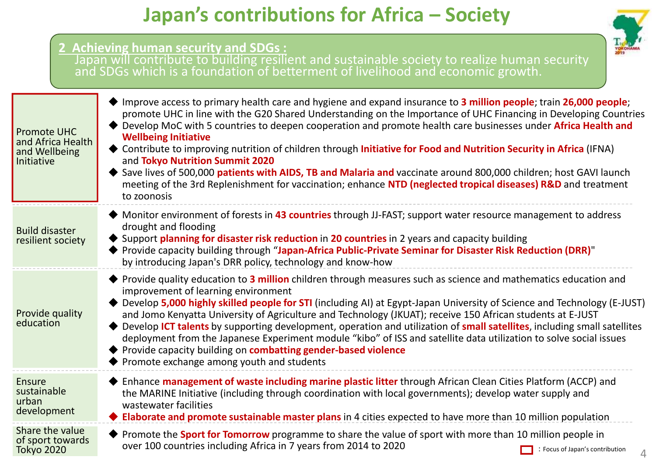### **Japan's contributions for Africa – Society**

|                                                                        | 2 Achieving human security and SDGs:<br>Japan will contribute to building resilient and sustainable society to realize human security and SDGs which is a foundation of betterment of livelihood and economic growth.                                                                                                                                                                                                                                                                                                                                                                                                                                                                                                                                                                                  |
|------------------------------------------------------------------------|--------------------------------------------------------------------------------------------------------------------------------------------------------------------------------------------------------------------------------------------------------------------------------------------------------------------------------------------------------------------------------------------------------------------------------------------------------------------------------------------------------------------------------------------------------------------------------------------------------------------------------------------------------------------------------------------------------------------------------------------------------------------------------------------------------|
| <b>Promote UHC</b><br>and Africa Health<br>and Wellbeing<br>Initiative | ◆ Improve access to primary health care and hygiene and expand insurance to 3 million people; train 26,000 people;<br>promote UHC in line with the G20 Shared Understanding on the Importance of UHC Financing in Developing Countries<br>◆ Develop MoC with 5 countries to deepen cooperation and promote health care businesses under Africa Health and<br><b>Wellbeing Initiative</b><br>♦ Contribute to improving nutrition of children through Initiative for Food and Nutrition Security in Africa (IFNA)<br>and Tokyo Nutrition Summit 2020<br>Save lives of 500,000 patients with AIDS, TB and Malaria and vaccinate around 800,000 children; host GAVI launch<br>meeting of the 3rd Replenishment for vaccination; enhance NTD (neglected tropical diseases) R&D and treatment<br>to zoonosis |
| <b>Build disaster</b><br>resilient society                             | ◆ Monitor environment of forests in 43 countries through JJ-FAST; support water resource management to address<br>drought and flooding<br>♦ Support planning for disaster risk reduction in 20 countries in 2 years and capacity building<br>Provide capacity building through "Japan-Africa Public-Private Seminar for Disaster Risk Reduction (DRR)"<br>by introducing Japan's DRR policy, technology and know-how                                                                                                                                                                                                                                                                                                                                                                                   |
| Provide quality<br>education                                           | ◆ Provide quality education to 3 million children through measures such as science and mathematics education and<br>improvement of learning environment<br>Develop 5,000 highly skilled people for STI (including AI) at Egypt-Japan University of Science and Technology (E-JUST)<br>and Jomo Kenyatta University of Agriculture and Technology (JKUAT); receive 150 African students at E-JUST<br>Develop ICT talents by supporting development, operation and utilization of small satellites, including small satellites<br>deployment from the Japanese Experiment module "kibo" of ISS and satellite data utilization to solve social issues<br>Provide capacity building on combatting gender-based violence<br>Promote exchange among youth and students                                       |
| <b>Ensure</b><br>sustainable<br>urban<br>development                   | Enhance management of waste including marine plastic litter through African Clean Cities Platform (ACCP) and<br>the MARINE Initiative (including through coordination with local governments); develop water supply and<br>wastewater facilities<br>Elaborate and promote sustainable master plans in 4 cities expected to have more than 10 million population                                                                                                                                                                                                                                                                                                                                                                                                                                        |
| Share the value<br>of sport towards<br>Tokyo 2020                      | ◆ Promote the <b>Sport for Tomorrow</b> programme to share the value of sport with more than 10 million people in<br>over 100 countries including Africa in 7 years from 2014 to 2020<br>: Focus of Japan's contribution<br>4                                                                                                                                                                                                                                                                                                                                                                                                                                                                                                                                                                          |